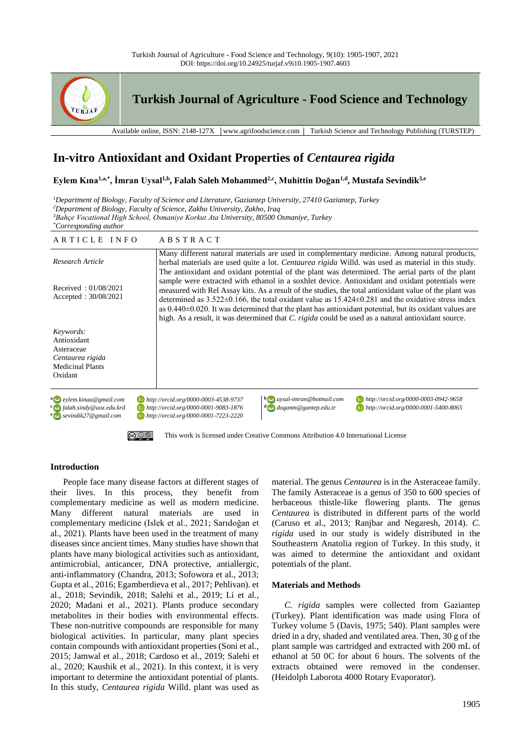



# **In-vitro Antioxidant and Oxidant Properties of** *Centaurea rigida*

**Eylem Kına1,a,\*, İmran Uysal1,b, Falah Saleh Mohammed2,c, Muhittin Doğan1,d, Mustafa Sevindik3,e**

*Department of Biology, Faculty of Science and Literature, Gaziantep University, 27410 Gaziantep, Turkey Department of Biology, Faculty of Science, Zakho University, Zakho, Iraq Bahçe Vocational High School, Osmaniye Korkut Ata University, 80500 Osmaniye, Turkey \*Corresponding author*

| ARTICLE INFO                                                                                           | <b>ABSTRACT</b>                                                                                                                                                                                                                                                                                                                                                                                                                                                                                                                                                                                                                                                                                                                                                                                                                                                 |  |
|--------------------------------------------------------------------------------------------------------|-----------------------------------------------------------------------------------------------------------------------------------------------------------------------------------------------------------------------------------------------------------------------------------------------------------------------------------------------------------------------------------------------------------------------------------------------------------------------------------------------------------------------------------------------------------------------------------------------------------------------------------------------------------------------------------------------------------------------------------------------------------------------------------------------------------------------------------------------------------------|--|
| Research Article                                                                                       | Many different natural materials are used in complementary medicine. Among natural products,<br>herbal materials are used quite a lot. <i>Centaurea rigida</i> Willd. was used as material in this study.<br>The antioxidant and oxidant potential of the plant was determined. The aerial parts of the plant<br>sample were extracted with ethanol in a soxhlet device. Antioxidant and oxidant potentials were<br>measured with Rel Assay kits. As a result of the studies, the total antioxidant value of the plant was<br>determined as $3.522\pm0.166$ , the total oxidant value as $15.424\pm0.281$ and the oxidative stress index<br>as $0.440 \pm 0.020$ . It was determined that the plant has antioxidant potential, but its oxidant values are<br>high. As a result, it was determined that C. rigida could be used as a natural antioxidant source. |  |
| Received: $01/08/2021$<br>Accepted: 30/08/2021                                                         |                                                                                                                                                                                                                                                                                                                                                                                                                                                                                                                                                                                                                                                                                                                                                                                                                                                                 |  |
| Keywords:<br>Antioxidant<br>Asteraceae<br>Centaurea rigida<br><b>Medicinal Plants</b><br>Oxidant       |                                                                                                                                                                                                                                                                                                                                                                                                                                                                                                                                                                                                                                                                                                                                                                                                                                                                 |  |
| a eylem.kinaa@gmail.com<br>$\epsilon$ falah.sindy@uoz.edu.krd<br>$e \rightarrow$ sevindik27@ gmail.com | $\mathbf{b}$ aysal-imran@hotmail.com<br>http://orcid.org/0000-0003-0942-9658<br>http://orcid.org/0000-0003-4538-9737<br>http://orcid.org/0000-0001-9083-1876<br>$\frac{d}{d}$ doganm@gantep.edu.tr<br>http://orcid.org/0000-0001-5400-8065<br>http://orcid.org/0000-0001-7223-2220                                                                                                                                                                                                                                                                                                                                                                                                                                                                                                                                                                              |  |



[This work is licensed under Creative Commons Attribution 4.0 International License](http://creativecommons.org/licenses/by-nc/4.0/)

# **Introduction**

People face many disease factors at different stages of their lives. In this process, they benefit from complementary medicine as well as modern medicine. Many different natural materials are used in complementary medicine (Islek et al., 2021; Sarıdoğan et al., 2021). Plants have been used in the treatment of many diseases since ancient times. Many studies have shown that plants have many biological activities such as antioxidant, antimicrobial, anticancer, DNA protective, antiallergic, anti-inflammatory (Chandra, 2013; Sofowora et al., 2013; Gupta et al., 2016; Egamberdieva et al., 2017; Pehlivan). et al., 2018; Sevindik, 2018; Salehi et al., 2019; Li et al., 2020; Madani et al., 2021). Plants produce secondary metabolites in their bodies with environmental effects. These non-nutritive compounds are responsible for many biological activities. In particular, many plant species contain compounds with antioxidant properties (Soni et al., 2015; Jamwal et al., 2018; Cardoso et al., 2019; Salehi et al., 2020; Kaushik et al., 2021). In this context, it is very important to determine the antioxidant potential of plants. In this study, *Centaurea rigida* Willd. plant was used as material. The genus *Centaurea* is in the Asteraceae family. The family Asteraceae is a genus of 350 to 600 species of herbaceous thistle-like flowering plants. The genus *Centaurea* is distributed in different parts of the world (Caruso et al., 2013; Ranjbar and Negaresh, 2014). *C. rigida* used in our study is widely distributed in the Southeastern Anatolia region of Turkey. In this study, it was aimed to determine the antioxidant and oxidant potentials of the plant.

# **Materials and Methods**

*C. rigida* samples were collected from Gaziantep (Turkey). Plant identification was made using Flora of Turkey volume 5 (Davis, 1975; 540). Plant samples were dried in a dry, shaded and ventilated area. Then, 30 g of the plant sample was cartridged and extracted with 200 mL of ethanol at 50 0C for about 6 hours. The solvents of the extracts obtained were removed in the condenser. (Heidolph Laborota 4000 Rotary Evaporator).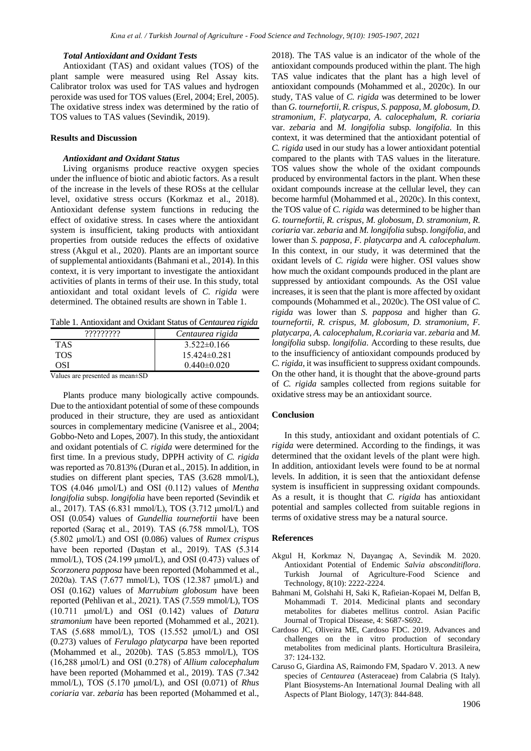#### *Total Antioxidant and Oxidant Tests*

Antioxidant (TAS) and oxidant values (TOS) of the plant sample were measured using Rel Assay kits. Calibrator trolox was used for TAS values and hydrogen peroxide was used for TOS values (Erel, 2004; Erel, 2005). The oxidative stress index was determined by the ratio of TOS values to TAS values (Sevindik, 2019).

## **Results and Discussion**

### *Antioxidant and Oxidant Status*

Living organisms produce reactive oxygen species under the influence of biotic and abiotic factors. As a result of the increase in the levels of these ROSs at the cellular level, oxidative stress occurs (Korkmaz et al., 2018). Antioxidant defense system functions in reducing the effect of oxidative stress. In cases where the antioxidant system is insufficient, taking products with antioxidant properties from outside reduces the effects of oxidative stress (Akgul et al., 2020). Plants are an important source of supplemental antioxidants (Bahmani et al., 2014). In this context, it is very important to investigate the antioxidant activities of plants in terms of their use. In this study, total antioxidant and total oxidant levels of *C. rigida* were determined. The obtained results are shown in Table 1.

Table 1. Antioxidant and Oxidant Status of *Centaurea rigida*

| าาาาาาาา                             | Centaurea rigida  |
|--------------------------------------|-------------------|
| <b>TAS</b>                           | $3.522\pm0.166$   |
| <b>TOS</b>                           | $15.424\pm0.281$  |
| OSI                                  | $0.440 \pm 0.020$ |
| <b>T</b> 7 1<br>$\sim$ $\sim$ $\sim$ |                   |

Values are presented as mean±SD

Plants produce many biologically active compounds. Due to the antioxidant potential of some of these compounds produced in their structure, they are used as antioxidant sources in complementary medicine (Vanisree et al., 2004; Gobbo-Neto and Lopes, 2007). In this study, the antioxidant and oxidant potentials of *C. rigida* were determined for the first time. In a previous study, DPPH activity of *C. rigida* was reported as 70.813% (Duran et al., 2015). In addition, in studies on different plant species, TAS (3.628 mmol/L), TOS (4.046 μmol/L) and OSI (0.112) values of *Mentha longifolia* subsp. *longifolia* have been reported (Sevindik et al., 2017). TAS (6.831 mmol/L), TOS (3.712 μmol/L) and OSI (0.054) values of *Gundellia tournefortii* have been reported (Saraç et al., 2019). TAS (6.758 mmol/L), TOS (5.802 μmol/L) and OSI (0.086) values of *Rumex crispus* have been reported (Daştan et al., 2019). TAS (5.314 mmol/L), TOS (24.199  $\mu$ mol/L), and OSI (0.473) values of *Scorzonera papposa* have been reported (Mohammed et al., 2020a). TAS (7.677 mmol/L), TOS (12.387 μmol/L) and OSI (0.162) values of *Marrubium globosum* have been reported (Pehlivan et al., 2021). TAS (7.559 mmol/L), TOS (10.711 μmol/L) and OSI (0.142) values of *Datura stramonium* have been reported (Mohammed et al., 2021). TAS (5.688 mmol/L), TOS (15.552 μmol/L) and OSI (0.273) values of *Ferulago platycarpa* have been reported (Mohammed et al., 2020b). TAS (5.853 mmol/L), TOS (16,288 μmol/L) and OSI (0.278) of *Allium calocephalum* have been reported (Mohammed et al., 2019). TAS (7.342 mmol/L), TOS (5.170 μmol/L), and OSI (0.071) of *Rhus coriaria* var. *zebaria* has been reported (Mohammed et al., 2018). The TAS value is an indicator of the whole of the antioxidant compounds produced within the plant. The high TAS value indicates that the plant has a high level of antioxidant compounds (Mohammed et al., 2020c). In our study, TAS value of *C. rigida* was determined to be lower than *G. tournefortii, R. crispus, S. papposa, M. globosum, D. stramonium, F. platycarpa, A. calocephalum, R. coriaria*  var. *zebaria* and *M. longifolia* subsp*. longifolia*. In this context, it was determined that the antioxidant potential of *C. rigida* used in our study has a lower antioxidant potential compared to the plants with TAS values in the literature. TOS values show the whole of the oxidant compounds produced by environmental factors in the plant. When these oxidant compounds increase at the cellular level, they can become harmful (Mohammed et al., 2020c). In this context, the TOS value of *C. rigida* was determined to be higher than *G. tournefortii, R. crispus, M. globosum, D. stramonium, R. coriaria* var. *zebaria* and *M. longifolia* subsp. *longifolia,* and lower than *S. papposa, F. platycarpa* and *A. calocephalum*. In this context, in our study, it was determined that the oxidant levels of *C. rigida* were higher. OSI values show how much the oxidant compounds produced in the plant are suppressed by antioxidant compounds. As the OSI value increases, it is seen that the plant is more affected by oxidant compounds (Mohammed et al., 2020c). The OSI value of *C. rigida* was lower than *S. papposa* and higher than *G. tournefortii, R. crispus, M. globosum, D. stramonium, F. platycarpa, A. calocephalum, R.coriaria* var. *zebaria* and *M. longifolia* subsp. *longifolia*. According to these results, due to the insufficiency of antioxidant compounds produced by *C. rigida*, it was insufficient to suppress oxidant compounds. On the other hand, it is thought that the above-ground parts of *C. rigida* samples collected from regions suitable for oxidative stress may be an antioxidant source.

### **Conclusion**

In this study, antioxidant and oxidant potentials of *C. rigida* were determined. According to the findings, it was determined that the oxidant levels of the plant were high. In addition, antioxidant levels were found to be at normal levels. In addition, it is seen that the antioxidant defense system is insufficient in suppressing oxidant compounds. As a result, it is thought that *C. rigida* has antioxidant potential and samples collected from suitable regions in terms of oxidative stress may be a natural source.

#### **References**

- Akgul H, Korkmaz N, Dayangaç A, Sevindik M. 2020. Antioxidant Potential of Endemic *Salvia absconditiflora*. Turkish Journal of Agriculture-Food Science and Technology, 8(10): 2222-2224.
- Bahmani M, Golshahi H, Saki K, Rafieian-Kopaei M, Delfan B, Mohammadi T. 2014. Medicinal plants and secondary metabolites for diabetes mellitus control. Asian Pacific Journal of Tropical Disease, 4: S687-S692.
- Cardoso JC, Oliveira ME, Cardoso FDC. 2019. Advances and challenges on the in vitro production of secondary metabolites from medicinal plants. Horticultura Brasileira, 37: 124-132.
- Caruso G, Giardina AS, Raimondo FM, Spadaro V. 2013. A new species of *Centaurea* (Asteraceae) from Calabria (S Italy). Plant Biosystems-An International Journal Dealing with all Aspects of Plant Biology, 147(3): 844-848.